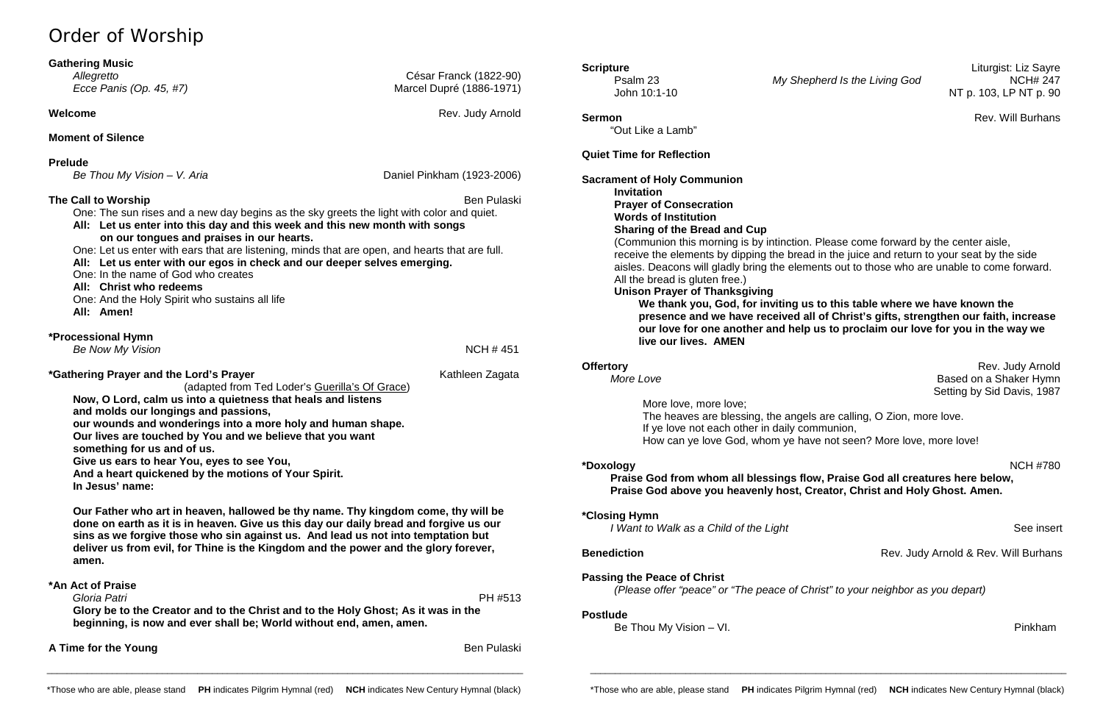# Order of Worship

*Allegretto* César Franck (1822-90) *Ecce Panis (Op. 45, #7)* 2012 2022 2023 Marcel Dupré (1886-1971)

**Welcome** Rev. Judy Arnold **Rev.** Judy Arnold **Rev.** Judy Arnold **Rev.** 3. **Rev.** 3. **Rev.** 3. **Rev.** 3. **Rev.** 3. **Rev.** 3. **Rev.** 3. **Rev.** 3. **Rev.** 3. **Rev.** 3. **Rev.** 3. **Rev.** 3. **Rev.** 3. **Rev.** 3. **Rev.** 3. **Rev.**

## **Gathering Music**

## **Moment of Silence**

**Prelude**

**The Call to Worship** Ben Pulaski **Ben Pulaski** Ben Pulaski Ben Pulaski Ben Pulaski Ben Pulaski Ben Pulaski Ben Pulaski One: The sun rises and a new day begins as the sky greets the light with color and quiet.

*Be Thou My Vision – V. Aria* Daniel Pinkham (1923-2006)

**All: Let us enter into this day and this week and this new month with songs** 

 **on our tongues and praises in our hearts.**

One: Let us enter with ears that are listening, minds that are open, and hearts that are full.

**All: Let us enter with our egos in check and our deeper selves emerging.**

One: In the name of God who creates

**All: Christ who redeems**

**Sermon** Rev. Will Burhans "Out Like a Lamb"

One: And the Holy Spirit who sustains all life **All: Amen! \*Processional Hymn** *Be Now My Vision* **NCH # 451 \*Gathering Prayer and the Lord's Prayer** Mathleen Zagata Kathleen Zagata (adapted from Ted Loder's Guerilla's Of Grace) **Now, O Lord, calm us into a quietness that heals and listens and molds our longings and passions, our wounds and wonderings into a more holy and human shape. Our lives are touched by You and we believe that you want something for us and of us. Give us ears to hear You, eyes to see You, And a heart quickened by the motions of Your Spirit. In Jesus' name: Our Father who art in heaven, hallowed be thy name. Thy kingdom come, thy will be done on earth as it is in heaven. Give us this day our daily bread and forgive us our sins as we forgive those who sin against us. And lead us not into temptation but deliver us from evil, for Thine is the Kingdom and the power and the glory forever, amen. \*An Act of Praise**  *Gloria Patri* PH #513 **Glory be to the Creator and to the Christ and to the Holy Ghost; As it was in the** 

**Offertory** Rev. Judy Arnold Rev. Judy Arnold *More Love* Based on a Shaker Hymn Setting by Sid Davis, 1987

**beginning, is now and ever shall be; World without end, amen, amen.**

# **Quiet Time for Reflection**

**Sacrament of Holy Communion Invitation Prayer of Consecration Words of Institution Sharing of the Bread and Cup** (Communion this morning is by intinction. Please come forward by the center aisle, receive the elements by dipping the bread in the juice and return to your seat by the side aisles. Deacons will gladly bring the elements out to those who are unable to come forward. All the bread is gluten free.) **Unison Prayer of Thanksgiving We thank you, God, for inviting us to this table where we have known the presence and we have received all of Christ's gifts, strengthen our faith, increase our love for one another and help us to proclaim our love for you in the way we live our lives. AMEN**

More love, more love; The heaves are blessing, the angels are calling, O Zion, more love. If ye love not each other in daily communion, How can ye love God, whom ye have not seen? More love, more love!

**\*Doxology** NCH #780

# **Praise God from whom all blessings flow, Praise God all creatures here below,**

**Benediction Benediction Rev. Judy Arnold & Rev. Will Burhans** 

**Praise God above you heavenly host, Creator, Christ and Holy Ghost. Amen.**

**\*Closing Hymn** 

*I Want to Walk as a Child of the Light* **See insert** *I Want to Walk as a Child of the Light* **and** *See insert* 

**Passing the Peace of Christ** *(Please offer "peace" or "The peace of Christ" to your neighbor as you depart)*

## **Postlude**

Be Thou My Vision – VI. **Pinkham** 

**A Time for the Young Ben Pullaski Ben Pullaski Ben Pullaski Ben Pullaski Ben Pullaski** 

\_\_\_\_\_\_\_\_\_\_\_\_\_\_\_\_\_\_\_\_\_\_\_\_\_\_\_\_\_\_\_\_\_\_\_\_\_\_\_\_\_\_\_\_\_\_\_\_\_\_\_\_\_\_\_\_\_\_\_\_\_\_\_\_\_\_\_\_\_\_\_\_\_\_\_\_\_\_\_\_\_\_\_\_\_\_\_\_\_\_\_\_\_\_\_

\_\_\_\_\_\_\_\_\_\_\_\_\_\_\_\_\_\_\_\_\_\_\_\_\_\_\_\_\_\_\_\_\_\_\_\_\_\_\_\_\_\_\_\_\_\_\_\_\_\_\_\_\_\_\_\_\_\_\_\_\_\_\_\_\_\_\_\_\_\_\_\_\_\_\_\_\_\_\_\_\_\_\_\_\_\_\_\_\_\_\_\_\_\_\_

**My Shepherd Is the Living God**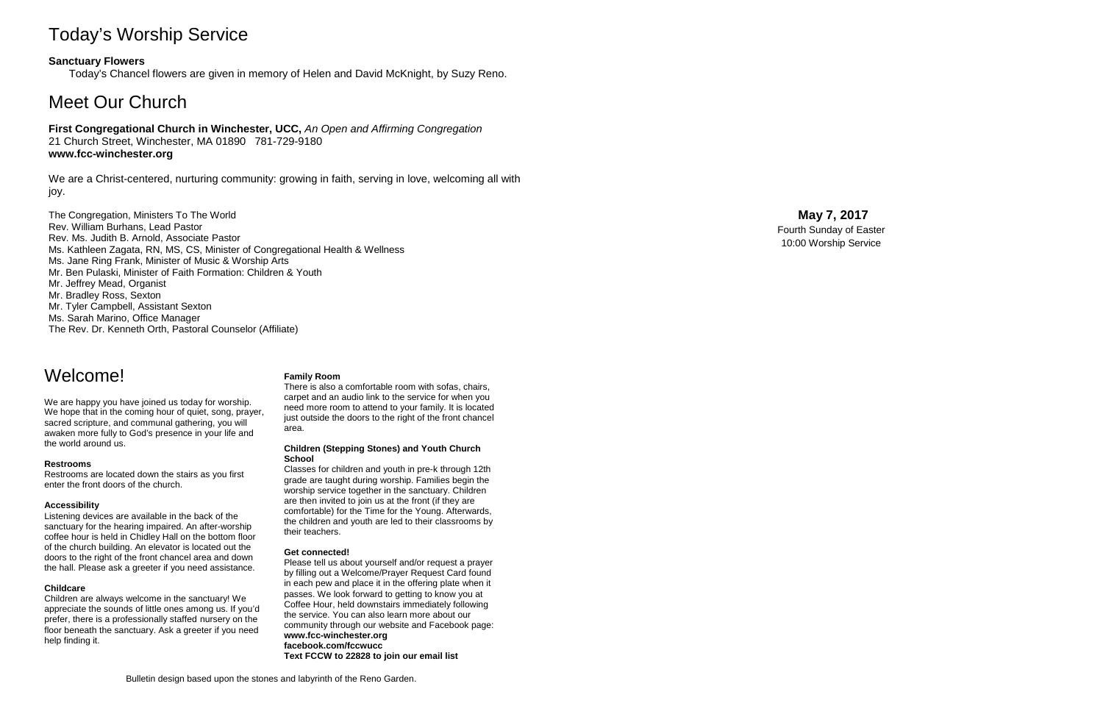# Today's Worship Service

# **Sanctuary Flowers**

Today's Chancel flowers are given in memory of Helen and David McKnight, by Suzy Reno.

# Meet Our Church

## **First Congregational Church in Winchester, UCC,** *An Open and Affirming Congregation* 21 Church Street, Winchester, MA 01890 781 -729 -9180 **www.fcc -winchester.org**

We are a Christ -centered, nurturing community: growing in faith, serving in love, welcoming all with joy.

The Congregation, Ministers To The World Rev. William Burhans, Lead Pastor Rev. Ms. Judith B. Arnold, Associate Pastor Ms. Kathleen Zagata, RN, MS, CS, Minister of Congregational Health & Wellness Ms. Jane Ring Frank, Minister of Music & Worship Arts Mr. Ben Pulaski, Minister of Faith Formation: Children & Youth Mr. Jeffrey Mead, Organist Mr. Bradley Ross, Sexton Mr. Tyler Campbell, Assistant Sexton Ms. Sarah Marino, Office Manager The Rev. Dr. Kenneth Orth, Pastoral Counselor (Affiliate)

# **May 7 , 2017**

Fourth Sunday of Easter 10:00 Worship Service

Bulletin design based upon the stones and labyrinth of the Reno Garden .

# Welcome!

We are happy you have joined us today for worship. We hope that in the coming hour of quiet, song, prayer, sacred scripture, and communal gathering, you will awaken more fully to God's presence in your life and the world around us.

### **Restrooms**

Restrooms are located down the stairs as you first enter the front doors of the church.

### **Accessibility**

Listening devices are available in the back of the sanctuary for the hearing impaired. An after -worship coffee hour is held in Chidley Hall on the bottom floor of the church building. An elevator is located out the doors to the right of the front chancel area and down the hall. Please ask a greeter if you need assistance.

### **Childcare**

Children are always welcome in the sanctuary! We appreciate the sounds of little ones among us. If you'd prefer, there is a professionally staffed nursery on the floor beneath the sanctuary. Ask a greeter if you need help finding it.

### **Family Room**

There is also a comfortable room with sofas, chairs, carpet and an audio link to the service for when you need more room to attend to your family. It is located just outside the doors to the right of the front chancel area.

#### **Children (Stepping Stones) and Youth Church School**

Classes for children and youth in pre -k through 12th grade are taught during worship. Families begin the worship service together in the sanctuary. Children are then invited to join us at the front (if they are comfortable) for the Time for the Young. Afterwards, the children and youth are led to their classrooms by their teachers.

### **Get connected!**

Please tell us about yourself and/or request a prayer by filling out a Welcome/Prayer Request Card found in each pew and place it in the offering plate when it passes. We look forward to getting to know you at Coffee Hour, held downstairs immediately following the service. You can also learn more about our community through our website and Facebook page: **www.fcc -winchester.org facebook.com/fccwucc Text FCCW to 22828 to join our email list**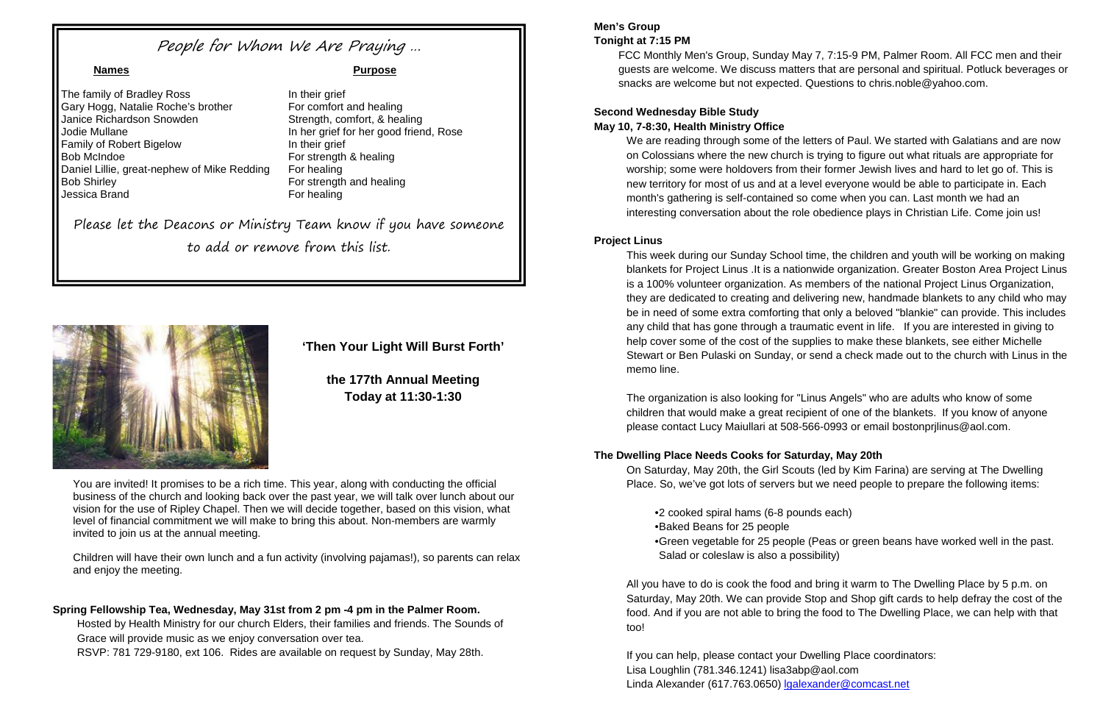**'Then Your Light Will Burst Forth'**

**the 177th Annual Meeting Today at 11:30-1:30**

You are invited! It promises to be a rich time. This year, along with conducting the official business of the church and looking back over the past year, we will talk over lunch about our vision for the use of Ripley Chapel. Then we will decide together, based on this vision, what level of financial commitment we will make to bring this about. Non-members are warmly invited to join us at the annual meeting.

Children will have their own lunch and a fun activity (involving pajamas!), so parents can relax and enjoy the meeting.

## **Spring Fellowship Tea, Wednesday, May 31st from 2 pm -4 pm in the Palmer Room.**

Hosted by Health Ministry for our church Elders, their families and friends. The Sounds of Grace will provide music as we enjoy conversation over tea. RSVP: 781 729-9180, ext 106. Rides are available on request by Sunday, May 28th.

### **Men's Group Tonight at 7:15 PM**

FCC Monthly Men's Group, Sunday May 7, 7:15-9 PM, Palmer Room. All FCC men and their guests are welcome. We discuss matters that are personal and spiritual. Potluck beverages or snacks are welcome but not expected. Questions to chris.noble@yahoo.com.

# **Second Wednesday Bible Study May 10, 7-8:30, Health Ministry Office**

We are reading through some of the letters of Paul. We started with Galatians and are now on Colossians where the new church is trying to figure out what rituals are appropriate for worship; some were holdovers from their former Jewish lives and hard to let go of. This is new territory for most of us and at a level everyone would be able to participate in. Each month's gathering is self-contained so come when you can. Last month we had an interesting conversation about the role obedience plays in Christian Life. Come join us!

## **Project Linus**

This week during our Sunday School time, the children and youth will be working on making blankets for Project Linus .It is a nationwide organization. Greater Boston Area Project Linus is a 100% volunteer organization. As members of the national Project Linus Organization, they are dedicated to creating and delivering new, handmade blankets to any child who may be in need of some extra comforting that only a beloved "blankie" can provide. This includes any child that has gone through a traumatic event in life. If you are interested in giving to help cover some of the cost of the supplies to make these blankets, see either Michelle Stewart or Ben Pulaski on Sunday, or send a check made out to the church with Linus in the memo line.

The organization is also looking for "Linus Angels" who are adults who know of some children that would make a great recipient of one of the blankets. If you know of anyone please contact Lucy Maiullari at 508-566-0993 or email bostonprjlinus@aol.com.

# **The Dwelling Place Needs Cooks for Saturday, May 20th**

On Saturday, May 20th, the Girl Scouts (led by Kim Farina) are serving at The Dwelling Place. So, we've got lots of servers but we need people to prepare the following items:

- •2 cooked spiral hams (6-8 pounds each)
- •Baked Beans for 25 people
- Salad or coleslaw is also a possibility)

•Green vegetable for 25 people (Peas or green beans have worked well in the past.

All you have to do is cook the food and bring it warm to The Dwelling Place by 5 p.m. on Saturday, May 20th. We can provide Stop and Shop gift cards to help defray the cost of the food. And if you are not able to bring the food to The Dwelling Place, we can help with that too!

If you can help, please contact your Dwelling Place coordinators: Lisa Loughlin (781.346.1241) lisa3abp@aol.com Linda Alexander (617.763.0650) [lgalexander@comcast.net](mailto:lgalexander@comcast.net)

# People for Whom We Are Praying …

The family of Bradley Ross In their grief Gary Hogg, Natalie Roche's brother For comfort and healing Janice Richardson Snowden Strength, comfort, & healing Jodie Mullane **In her grief for her good friend, Rose** Family of Robert Bigelow **In their grief** Bob McIndoe **For strength & healing** Daniel Lillie, great-nephew of Mike Redding For healing Bob Shirley **For strength and healing** Jessica Brand For healing

### **Names Purpose**

Please let the Deacons or Ministry Team know if you have someone to add or remove from this list.